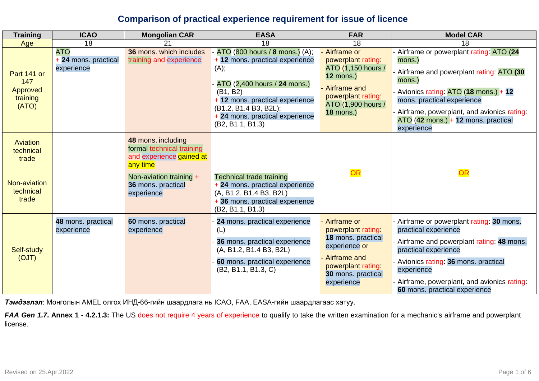## **Comparison of practical experience requirement for issue of licence**

| <b>Training</b>                                     | <b>ICAO</b>                                      | <b>Mongolian CAR</b>                                                                    | <b>EASA</b>                                                                                                                                                                                                                              | <b>FAR</b>                                                                                                                                           | <b>Model CAR</b>                                                                                                                                                                                                                                                                 |
|-----------------------------------------------------|--------------------------------------------------|-----------------------------------------------------------------------------------------|------------------------------------------------------------------------------------------------------------------------------------------------------------------------------------------------------------------------------------------|------------------------------------------------------------------------------------------------------------------------------------------------------|----------------------------------------------------------------------------------------------------------------------------------------------------------------------------------------------------------------------------------------------------------------------------------|
| Age                                                 | 18                                               | 21                                                                                      | 18                                                                                                                                                                                                                                       | 18                                                                                                                                                   | 18                                                                                                                                                                                                                                                                               |
| Part 141 or<br>147<br>Approved<br>training<br>(ATO) | <b>ATO</b><br>+ 24 mons. practical<br>experience | 36 mons, which includes<br>training and experience                                      | ATO (800 hours / 8 mons.) (A);<br>+ 12 mons. practical experience<br>(A);<br>ATO (2,400 hours / 24 mons.)<br>(B1, B2)<br>+ 12 mons. practical experience<br>(B1.2, B1.4 B3, B2L);<br>+ 24 mons. practical experience<br>(B2, B1.1, B1.3) | Airframe or<br>powerplant rating<br>ATO (1,150 hours /<br>$12$ mons.)<br>Airframe and<br>powerplant rating<br>ATO (1,900 hours /<br><b>18 mons.)</b> | Airframe or powerplant rating: ATO (24<br>mons.)<br>Airframe and powerplant rating: ATO (30<br>mons.)<br>Avionics rating: ATO (18 mons.) + 12<br>mons. practical experience<br>Airframe, powerplant, and avionics rating:<br>$ATO$ (42 mons.) + 12 mons. practical<br>experience |
| Aviation<br>technical<br>trade                      |                                                  | 48 mons. including<br>formal technical training<br>and experience gained at<br>any time |                                                                                                                                                                                                                                          |                                                                                                                                                      |                                                                                                                                                                                                                                                                                  |
| Non-aviation<br>technical<br>trade                  |                                                  | Non-aviation training +<br>36 mons. practical<br>experience                             | <b>Technical trade training</b><br>+ 24 mons. practical experience<br>(A, B1.2, B1.4 B3, B2L)<br>+ 36 mons. practical experience<br>(B2, B1.1, B1.3)                                                                                     | OR                                                                                                                                                   | OR                                                                                                                                                                                                                                                                               |
| Self-study<br>(OJT)                                 | 48 mons. practical<br>experience                 | 60 mons. practical<br>experience                                                        | 24 mons. practical experience<br>(L)<br>36 mons. practical experience<br>(A, B1.2, B1.4 B3, B2L)<br>60 mons. practical experience<br>(B2, B1.1, B1.3, C)                                                                                 | Airframe or<br>powerplant rating:<br>18 mons. practical<br>experience or<br>Airframe and<br>powerplant rating<br>30 mons. practical<br>experience    | Airframe or powerplant rating: 30 mons.<br>practical experience<br>Airframe and powerplant rating: 48 mons.<br>practical experience<br>Avionics rating: 36 mons. practical<br>experience<br>Airframe, powerplant, and avionics rating:<br>60 mons. practical experience          |

*Тэмдэглэл*: Монголын AMEL олгох ИНД-66-гийн шаардлага нь ICAO, FAA, EASA-гийн шаардлагаас хатуу.

*FAA Gen 1.7***. Annex 1 - 4.2.1.3:** The US does not require 4 years of experience to qualify to take the written examination for a mechanic's airframe and powerplant license.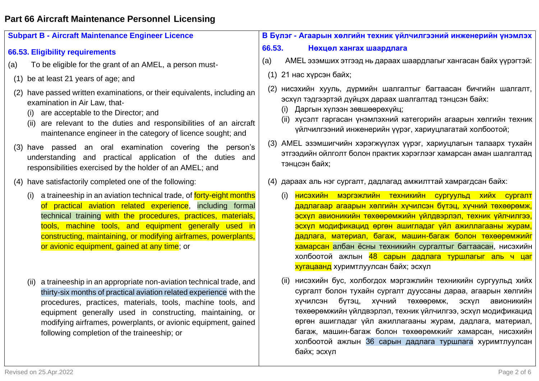# **Part 66 Aircraft Maintenance Personnel Licensing**

| <b>Subpart B - Aircraft Maintenance Engineer Licence</b>                                                                                                                                                                                                                                                                                                                                      | В Бүлэг - Агаарын хөлгийн техник үйлчилгээний инженерийн үнэмлэх                                                                                                                                                                                                                                                                                                                                                                                                                |  |  |
|-----------------------------------------------------------------------------------------------------------------------------------------------------------------------------------------------------------------------------------------------------------------------------------------------------------------------------------------------------------------------------------------------|---------------------------------------------------------------------------------------------------------------------------------------------------------------------------------------------------------------------------------------------------------------------------------------------------------------------------------------------------------------------------------------------------------------------------------------------------------------------------------|--|--|
| 66.53. Eligibility requirements                                                                                                                                                                                                                                                                                                                                                               | 66.53.<br>Нехцел хангах шаардлага                                                                                                                                                                                                                                                                                                                                                                                                                                               |  |  |
| To be eligible for the grant of an AMEL, a person must-<br>(a)                                                                                                                                                                                                                                                                                                                                | AMEL эзэмших этгээд нь дараах шаардлагыг хангасан байх үүрэгтэй:<br>(a)                                                                                                                                                                                                                                                                                                                                                                                                         |  |  |
| (1) be at least 21 years of age; and                                                                                                                                                                                                                                                                                                                                                          | 21 нас хүрсэн байх;<br>(1)                                                                                                                                                                                                                                                                                                                                                                                                                                                      |  |  |
| (2) have passed written examinations, or their equivalents, including an<br>examination in Air Law, that-<br>are acceptable to the Director; and<br>(i)<br>(ii) are relevant to the duties and responsibilities of an aircraft<br>maintenance engineer in the category of licence sought; and                                                                                                 | нисэхийн хууль, дүрмийн шалгалтыг багтаасан бичгийн шалгалт,<br>(2)<br>эсхүл тэдгээртэй дүйцэх дараах шалгалтад тэнцсэн байх:<br>(i) Даргын хүлээн зөвшөөрөхүйц;<br>(ii) хүсэлт гаргасан үнэмлэхний категорийн агаарын хөлгийн техник<br>үйлчилгээний инженерийн үүрэг, хариуцлагатай холбоотой;                                                                                                                                                                                |  |  |
| (3) have passed an oral examination covering the person's<br>understanding and practical application of the duties and<br>responsibilities exercised by the holder of an AMEL; and                                                                                                                                                                                                            | AMEL эзэмшигчийн хэрэгжүүлэх үүрэг, хариуцлагын талаарх тухайн<br>(3)<br>этгээдийн ойлголт болон практик хэрэглээг хамарсан аман шалгалтад<br>тэнцсэн байх;                                                                                                                                                                                                                                                                                                                     |  |  |
| (4) have satisfactorily completed one of the following:                                                                                                                                                                                                                                                                                                                                       | (4) дараах аль нэг сургалт, дадлагад амжилттай хамрагдсан байх:                                                                                                                                                                                                                                                                                                                                                                                                                 |  |  |
| a traineeship in an aviation technical trade, of forty-eight months<br>(i)<br>of practical aviation related experience, including formal<br>technical training with the procedures, practices, materials,<br>tools, machine tools, and equipment generally used in<br>constructing, maintaining, or modifying airframes, powerplants,<br>or avionic equipment, gained at any time; or         | нисэхийн мэргэжлийн техникийн сургуульд хийх сургалт<br>(i)<br>дадлагаар агаарын хөлгийн хүчилсэн бүтэц, хүчний төхөөрөмж,<br>эсхүл авионикийн төхөөрөмжийн үйлдвэрлэл, техник үйлчилгээ,<br>эсхүл модификацид өргөн ашигладаг үйл ажиллагааны журам,<br>дадлага, материал, багаж, машин-багаж болон төхөөрөмжийг<br>хамарсан албан ёсны техникийн сургалтыг багтаасан, нисэхийн<br>холбоотой ажлын 48 сарын дадлага туршлагыг аль ч цаг<br>хугацаанд хуримтлуулсан байх; эсхүл |  |  |
| a traineeship in an appropriate non-aviation technical trade, and<br>(ii)<br>thirty-six months of practical aviation related experience with the<br>procedures, practices, materials, tools, machine tools, and<br>equipment generally used in constructing, maintaining, or<br>modifying airframes, powerplants, or avionic equipment, gained<br>following completion of the traineeship; or | нисэхийн бус, холбогдох мэргэжлийн техникийн сургуульд хийх<br>(II)<br>сургалт болон тухайн сургалт дууссаны дараа, агаарын хөлгийн<br>бүтэц,<br>хүчний<br>ХУЧИЛСЭН<br>төхөөрөмж, эсхүл<br>авионикийн<br>төхөөрөмжийн үйлдвэрлэл, техник үйлчилгээ, эсхүл модификацид<br>өргөн ашигладаг үйл ажиллагааны журам, дадлага, материал,<br>багаж, машин-багаж болон төхөөрөмжийг хамарсан, нисэхийн<br>холбоотой ажлын 36 сарын дадлага туршлага хуримтлуулсан<br>байх; эсхүл        |  |  |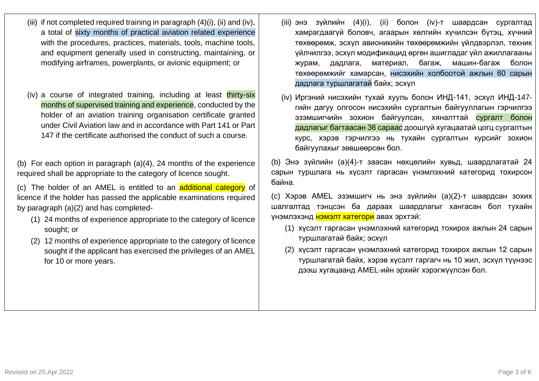Revised on 25.Apr.2022 Page 3 of 6

- (iii) if not completed required training in paragraph  $(4)(i)$ , (ii) and (iv), a total of sixty months of practical aviation related experience with the procedures, practices, materials, tools, machine tools, and equipment generally used in constructing, maintaining, or modifying airframes, powerplants, or avionic equipment; or
- (iv) a course of integrated training, including at least thirty-six months of supervised training and experience, conducted by the holder of an aviation training organisation certificate granted under Civil Aviation law and in accordance with Part 141 or Part 147 if the certificate authorised the conduct of such a course.

(b) For each option in paragraph (a)(4), 24 months of the experience required shall be appropriate to the category of licence sought.

(c) The holder of an AMEL is entitled to an additional category of licence if the holder has passed the applicable examinations required by paragraph (a)(2) and has completed-

- (1) 24 months of experience appropriate to the category of licence sought; or
- (2) 12 months of experience appropriate to the category of licence sought if the applicant has exercised the privileges of an AMEL for 10 or more years.
- (iii) энэ зүйлийн (4)(i), (ii) болон (iv)-т шаардсан сургалтад хамрагдаагүй боловч, агаарын хөлгийн хүчилсэн бүтэц, хүчний төхөөрөмж, эсхүл авионикийн төхөөрөмжийн үйлдвэрлэл, техник үйлчилгээ, эсхүл модификацид өргөн ашигладаг үйл ажиллагааны журам, дадлага, материал, багаж, машин-багаж болон төхөөрөмжийг хамарсан, нисэхийн холбоотой ажлын 60 сарын дадлага туршлагатай байх; эсхүл
- (iv) Иргэний нисэхийн тухай хууль болон ИНД-141, эсхүл ИНД-147 гийн дагуу олгосон нисэхийн сургалтын байгууллагын гэрчилгээ эзэмшигчийн зохион байгуулсан, хяналттай сургалт болон дадлагыг багтаасан 36 сараас доошгүй хугацаатай цогц сургалтын курс, хэрэв гэрчилгээ нь тухайн сургалтын курсийг зохион байгуулахыг зөвшөөрсөн бол.

(b) Энэ зүйлийн (а)(4)-т заасан нөхцөлийн хувьд, шаардлагатай 24 сарын туршлага нь хүсэлт гаргасан үнэмлэхний категорид тохирсон байна.

(c) Хэрэв AMEL эзэмшигч нь энэ зүйлийн (а)(2)-т шаардсан зохих шалгалтад тэнцсэн ба дараах шаардлагыг хангасан бол тухайн үнэмлэхэнд нэмэлт категори авах эрхтэй:

- (1) хүсэлт гаргасан үнэмлэхний категорид тохирох ажлын 24 сарын туршлагатай байх; эсхүл
- (2) хүсэлт гаргасан үнэмлэхний категорид тохирох ажлын 12 сарын туршлагатай байх, хэрэв хүсэлт гаргагч нь 10 жил, эсхүл түүнээс дээш хугацаанд AMEL-ийн эрхийг хэрэгжүүлсэн бол.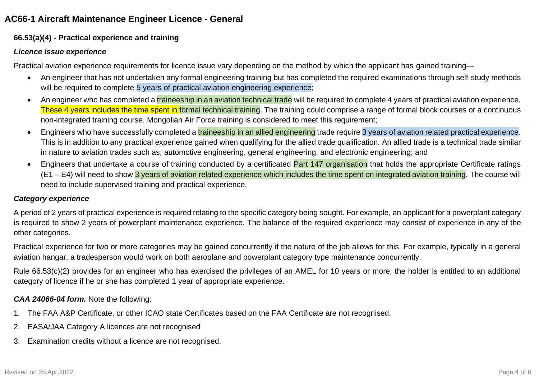## **AC66-1 Aircraft Maintenance Engineer Licence - General**

### **66.53(a)(4) - Practical experience and training**

### *Licence issue experience*

Practical aviation experience requirements for licence issue vary depending on the method by which the applicant has gained training—

- An engineer that has not undertaken any formal engineering training but has completed the required examinations through self-study methods will be required to complete 5 years of practical aviation engineering experience;
- An engineer who has completed a *traineeship in an aviation technical trade* will be required to complete 4 years of practical aviation experience. These 4 years includes the time spent in formal technical training. The training could comprise a range of formal block courses or a continuous non-integrated training course. Mongolian Air Force training is considered to meet this requirement;
- Engineers who have successfully completed a traineeship in an allied engineering trade require 3 years of aviation related practical experience. This is in addition to any practical experience gained when qualifying for the allied trade qualification. An allied trade is a technical trade similar in nature to aviation trades such as, automotive engineering, general engineering, and electronic engineering; and
- Engineers that undertake a course of training conducted by a certificated Part 147 organisation that holds the appropriate Certificate ratings  $(E1 - E4)$  will need to show 3 years of aviation related experience which includes the time spent on integrated aviation training. The course will need to include supervised training and practical experience.

### *Category experience*

A period of 2 years of practical experience is required relating to the specific category being sought. For example, an applicant for a powerplant category is required to show 2 years of powerplant maintenance experience. The balance of the required experience may consist of experience in any of the other categories.

Practical experience for two or more categories may be gained concurrently if the nature of the job allows for this. For example, typically in a general aviation hangar, a tradesperson would work on both aeroplane and powerplant category type maintenance concurrently.

Rule 66.53(c)(2) provides for an engineer who has exercised the privileges of an AMEL for 10 years or more, the holder is entitled to an additional category of licence if he or she has completed 1 year of appropriate experience.

### *CAA 24066-04 form.* Note the following:

- 1. The FAA A&P Certificate, or other ICAO state Certificates based on the FAA Certificate are not recognised.
- 2. EASA/JAA Category A licences are not recognised
- 3. Examination credits without a licence are not recognised.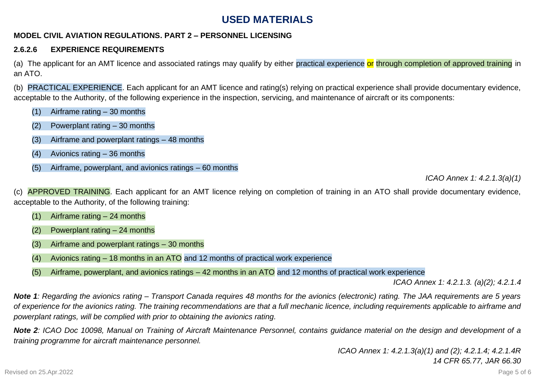# **USED MATERIALS**

### **MODEL CIVIL AVIATION REGULATIONS. PART 2 – PERSONNEL LICENSING**

### **2.6.2.6 EXPERIENCE REQUIREMENTS**

(a) The applicant for an AMT licence and associated ratings may qualify by either practical experience or through completion of approved training in an ATO.

(b) PRACTICAL EXPERIENCE. Each applicant for an AMT licence and rating(s) relying on practical experience shall provide documentary evidence, acceptable to the Authority, of the following experience in the inspection, servicing, and maintenance of aircraft or its components:

- (1) Airframe rating 30 months
- (2) Powerplant rating 30 months
- (3) Airframe and powerplant ratings 48 months
- (4) Avionics rating 36 months
- (5) Airframe, powerplant, and avionics ratings 60 months

*ICAO Annex 1: 4.2.1.3(a)(1)* 

APPROVED TRAINING. Each applicant for an AMT licence relying on completion of training in an ATO shall provide documentary evidence, acceptable to the Authority, of the following training:

- (1) Airframe rating 24 months
- (2) Powerplant rating 24 months
- (3) Airframe and powerplant ratings 30 months
- (4) Avionics rating 18 months in an ATO and 12 months of practical work experience
- (5) Airframe, powerplant, and avionics ratings 42 months in an ATO and 12 months of practical work experience

*ICAO Annex 1: 4.2.1.3. (a)(2); 4.2.1.4* 

*Note 1: Regarding the avionics rating – Transport Canada requires 48 months for the avionics (electronic) rating. The JAA requirements are 5 years of experience for the avionics rating. The training recommendations are that a full mechanic licence, including requirements applicable to airframe and powerplant ratings, will be complied with prior to obtaining the avionics rating.* 

*Note 2: ICAO Doc 10098, Manual on Training of Aircraft Maintenance Personnel, contains guidance material on the design and development of a training programme for aircraft maintenance personnel.*

> *ICAO Annex 1: 4.2.1.3(a)(1) and (2); 4.2.1.4; 4.2.1.4R 14 CFR 65.77, JAR 66.30*